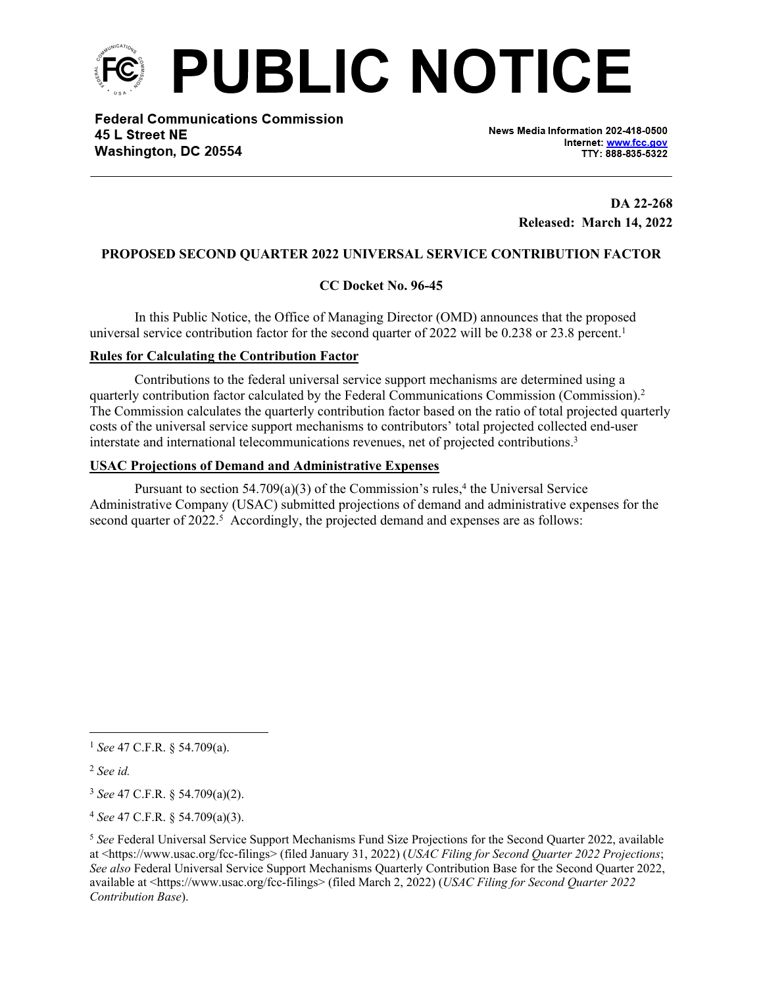

**Federal Communications Commission** 45 L Street NE Washington, DC 20554

News Media Information 202-418-0500 Internet: www.fcc.gov TTY: 888-835-5322

> **DA 22-268 Released: March 14, 2022**

# **PROPOSED SECOND QUARTER 2022 UNIVERSAL SERVICE CONTRIBUTION FACTOR**

## **CC Docket No. 96-45**

In this Public Notice, the Office of Managing Director (OMD) announces that the proposed universal service contribution factor for the second quarter of 2022 will be 0.238 or 23.8 percent.<sup>1</sup>

## **Rules for Calculating the Contribution Factor**

Contributions to the federal universal service support mechanisms are determined using a quarterly contribution factor calculated by the Federal Communications Commission (Commission).<sup>2</sup> The Commission calculates the quarterly contribution factor based on the ratio of total projected quarterly costs of the universal service support mechanisms to contributors' total projected collected end-user interstate and international telecommunications revenues, net of projected contributions.<sup>3</sup>

### **USAC Projections of Demand and Administrative Expenses**

Pursuant to section  $54.709(a)(3)$  of the Commission's rules,<sup>4</sup> the Universal Service Administrative Company (USAC) submitted projections of demand and administrative expenses for the second quarter of 2022.<sup>5</sup> Accordingly, the projected demand and expenses are as follows:

<sup>1</sup> *See* 47 C.F.R. § 54.709(a).

<sup>2</sup> *See id.*

<sup>3</sup> *See* 47 C.F.R. § 54.709(a)(2).

<sup>4</sup> *See* 47 C.F.R. § 54.709(a)(3).

<sup>5</sup> *See* Federal Universal Service Support Mechanisms Fund Size Projections for the Second Quarter 2022, available at <https://www.usac.org/fcc-filings> (filed January 31, 2022) (*USAC Filing for Second Quarter 2022 Projections*; *See also* Federal Universal Service Support Mechanisms Quarterly Contribution Base for the Second Quarter 2022, available at <https://www.usac.org/fcc-filings> (filed March 2, 2022) (*USAC Filing for Second Quarter 2022 Contribution Base*).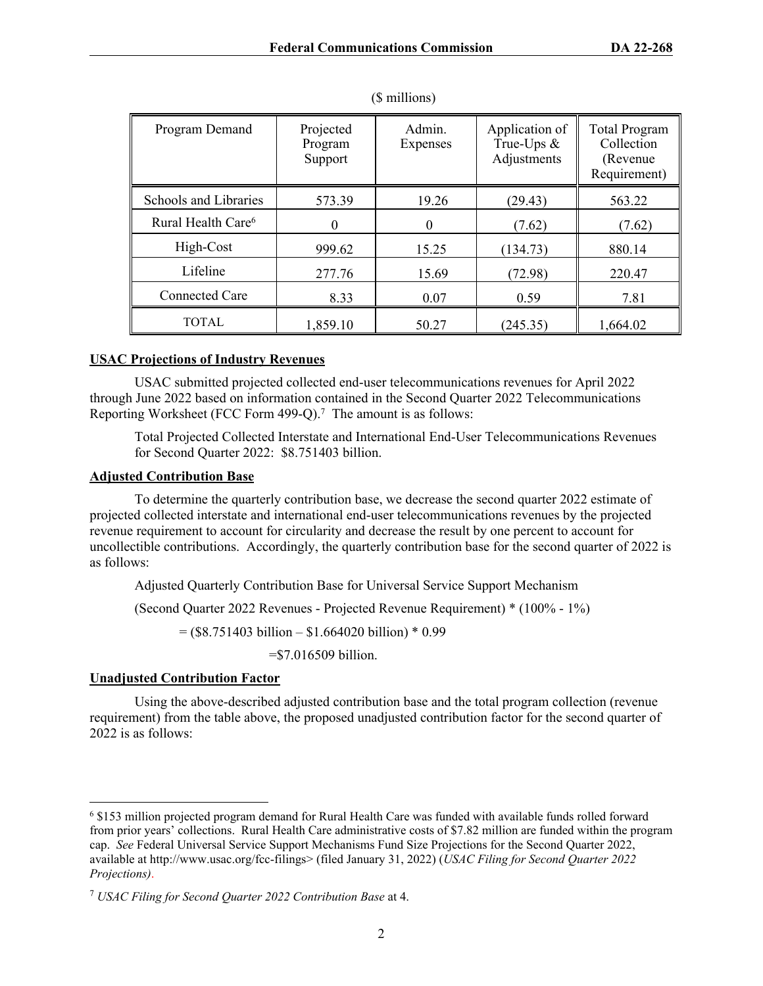| Program Demand                 | Projected<br>Program<br>Support | Admin.<br>Expenses | Application of<br>True-Ups $\&$<br>Adjustments | <b>Total Program</b><br>Collection<br>(Revenue)<br>Requirement) |
|--------------------------------|---------------------------------|--------------------|------------------------------------------------|-----------------------------------------------------------------|
| Schools and Libraries          | 573.39                          | 19.26              | (29.43)                                        | 563.22                                                          |
| Rural Health Care <sup>6</sup> |                                 | $\theta$           | (7.62)                                         | (7.62)                                                          |
| High-Cost                      | 999.62                          | 15.25              | (134.73)                                       | 880.14                                                          |
| Lifeline                       | 277.76                          | 15.69              | (72.98)                                        | 220.47                                                          |
| <b>Connected Care</b>          | 8.33                            | 0.07               | 0.59                                           | 7.81                                                            |
| TOTAL                          | 1,859.10                        | 50.27              | (245.35)                                       | 1,664.02                                                        |

(\$ millions)

### **USAC Projections of Industry Revenues**

USAC submitted projected collected end-user telecommunications revenues for April 2022 through June 2022 based on information contained in the Second Quarter 2022 Telecommunications Reporting Worksheet (FCC Form 499-Q).<sup>7</sup> The amount is as follows:

Total Projected Collected Interstate and International End-User Telecommunications Revenues for Second Quarter 2022: \$8.751403 billion.

### **Adjusted Contribution Base**

To determine the quarterly contribution base, we decrease the second quarter 2022 estimate of projected collected interstate and international end-user telecommunications revenues by the projected revenue requirement to account for circularity and decrease the result by one percent to account for uncollectible contributions. Accordingly, the quarterly contribution base for the second quarter of 2022 is as follows:

Adjusted Quarterly Contribution Base for Universal Service Support Mechanism

(Second Quarter 2022 Revenues - Projected Revenue Requirement) \* (100% - 1%)

 $=$  (\$8.751403 billion – \$1.664020 billion) \* 0.99

=\$7.016509 billion.

## **Unadjusted Contribution Factor**

Using the above-described adjusted contribution base and the total program collection (revenue requirement) from the table above, the proposed unadjusted contribution factor for the second quarter of 2022 is as follows:

<sup>6</sup> \$153 million projected program demand for Rural Health Care was funded with available funds rolled forward from prior years' collections. Rural Health Care administrative costs of \$7.82 million are funded within the program cap. *See* Federal Universal Service Support Mechanisms Fund Size Projections for the Second Quarter 2022, available at http://www.usac.org/fcc-filings> (filed January 31, 2022) (*USAC Filing for Second Quarter 2022 Projections)*.

<sup>7</sup>  *USAC Filing for Second Quarter 2022 Contribution Base* at 4.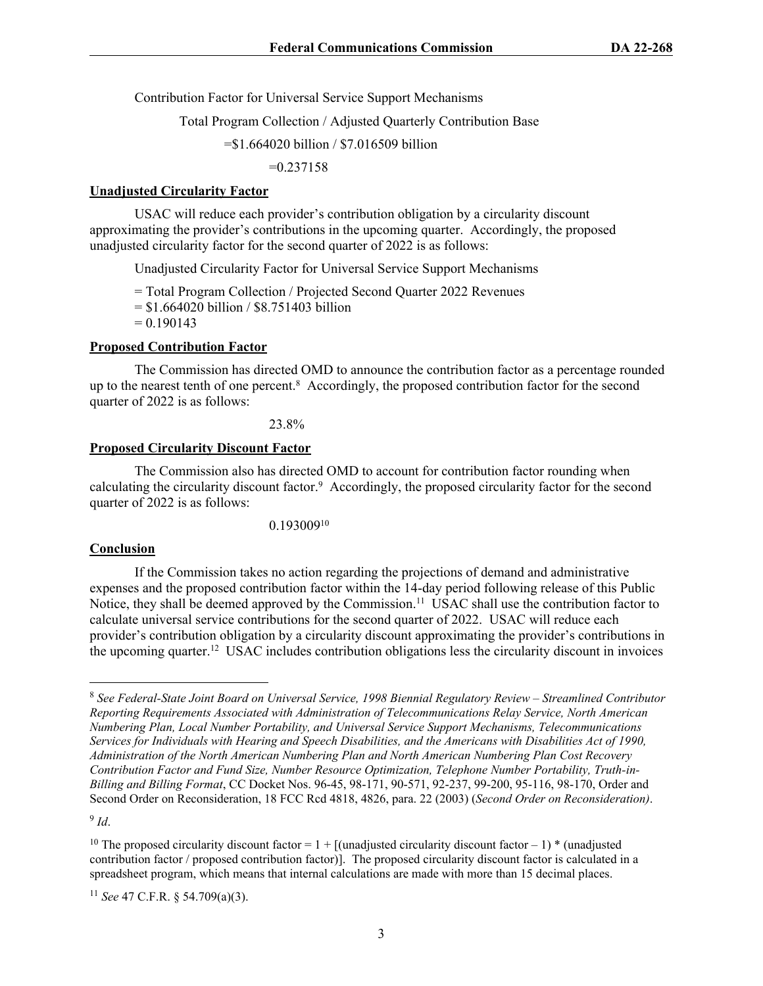Contribution Factor for Universal Service Support Mechanisms

Total Program Collection / Adjusted Quarterly Contribution Base

=\$1.664020 billion / \$7.016509 billion

 $=0.237158$ 

### **Unadjusted Circularity Factor**

USAC will reduce each provider's contribution obligation by a circularity discount approximating the provider's contributions in the upcoming quarter. Accordingly, the proposed unadjusted circularity factor for the second quarter of 2022 is as follows:

Unadjusted Circularity Factor for Universal Service Support Mechanisms

= Total Program Collection / Projected Second Quarter 2022 Revenues  $=$  \$1.664020 billion / \$8.751403 billion  $= 0.190143$ 

### **Proposed Contribution Factor**

The Commission has directed OMD to announce the contribution factor as a percentage rounded up to the nearest tenth of one percent.<sup>8</sup> Accordingly, the proposed contribution factor for the second quarter of 2022 is as follows:

23.8%

### **Proposed Circularity Discount Factor**

The Commission also has directed OMD to account for contribution factor rounding when calculating the circularity discount factor.<sup>9</sup> Accordingly, the proposed circularity factor for the second quarter of 2022 is as follows:

0.193009<sup>10</sup>

### **Conclusion**

If the Commission takes no action regarding the projections of demand and administrative expenses and the proposed contribution factor within the 14-day period following release of this Public Notice, they shall be deemed approved by the Commission.<sup>11</sup> USAC shall use the contribution factor to calculate universal service contributions for the second quarter of 2022. USAC will reduce each provider's contribution obligation by a circularity discount approximating the provider's contributions in the upcoming quarter.<sup>12</sup> USAC includes contribution obligations less the circularity discount in invoices

9 *Id*.

<sup>8</sup> *See Federal-State Joint Board on Universal Service, 1998 Biennial Regulatory Review – Streamlined Contributor Reporting Requirements Associated with Administration of Telecommunications Relay Service, North American Numbering Plan, Local Number Portability, and Universal Service Support Mechanisms, Telecommunications Services for Individuals with Hearing and Speech Disabilities, and the Americans with Disabilities Act of 1990, Administration of the North American Numbering Plan and North American Numbering Plan Cost Recovery Contribution Factor and Fund Size, Number Resource Optimization, Telephone Number Portability, Truth-in-Billing and Billing Format*, CC Docket Nos. 96-45, 98-171, 90-571, 92-237, 99-200, 95-116, 98-170, Order and Second Order on Reconsideration, 18 FCC Rcd 4818, 4826, para. 22 (2003) (*Second Order on Reconsideration)*.

<sup>&</sup>lt;sup>10</sup> The proposed circularity discount factor =  $1 +$  [(unadjusted circularity discount factor – 1) \* (unadjusted contribution factor / proposed contribution factor)]. The proposed circularity discount factor is calculated in a spreadsheet program, which means that internal calculations are made with more than 15 decimal places.

<sup>11</sup> *See* 47 C.F.R. § 54.709(a)(3).